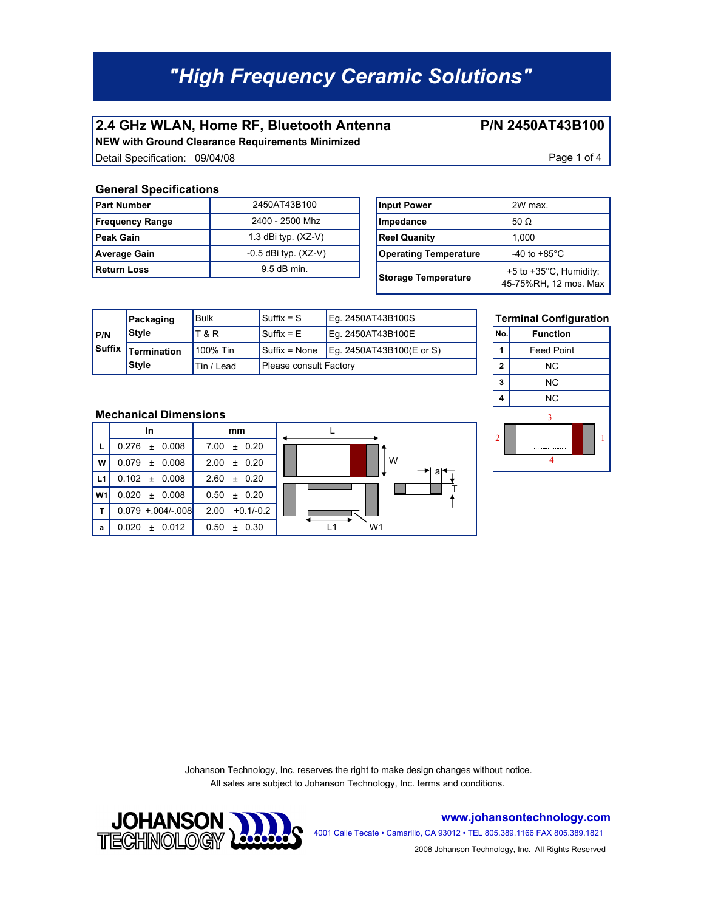### **2.4 GHz WLAN, Home RF, Bluetooth Antenna P/N 2450AT43B100**

**NEW with Ground Clearance Requirements Minimized** Detail Specification: 09/04/08 Page 1 of 4

#### **General Specifications**

| <b>Part Number</b>     | 2450AT43B100             | <b>Input Power</b>           | 2W max.                         |
|------------------------|--------------------------|------------------------------|---------------------------------|
| <b>Frequency Range</b> | 2400 - 2500 Mhz          | Impedance                    | 50 $\Omega$                     |
| <b>Peak Gain</b>       | 1.3 dBi typ. $(XZ-V)$    | <b>Reel Quanity</b>          | 1.000                           |
| <b>Average Gain</b>    | $-0.5$ dBi typ. $(XZ-V)$ | <b>Operating Temperature</b> | -40 to +85 $^{\circ}$ C         |
| <b>Return Loss</b>     | $9.5$ dB min.            | Storage Temperature          | +5 to $+35^{\circ}$ C, $\vdash$ |

| Input Power                  | 2W max                                                      |  |  |
|------------------------------|-------------------------------------------------------------|--|--|
| Impedance                    | 50 $\Omega$                                                 |  |  |
| <b>Reel Quanity</b>          | 1,000                                                       |  |  |
| <b>Operating Temperature</b> | $-40$ to $+85^{\circ}$ C                                    |  |  |
| <b>Storage Temperature</b>   | $+5$ to $+35^{\circ}$ C, Humidity:<br>45-75%RH, 12 mos. Max |  |  |

a

T

|               | Packaging          | Bulk       | $Suffix = S$                  | Eq. 2450AT43B100S        |            | <b>Terminal Config</b> |
|---------------|--------------------|------------|-------------------------------|--------------------------|------------|------------------------|
| <b>P/N</b>    | Style              | T & R      | $^{\mathsf{I}}$ Suffix = E    | Eq. 2450AT43B100E        | <b>No.</b> | <b>Function</b>        |
| <b>Suffix</b> | <b>Termination</b> | 100% Tin   | $\vert$ Suffix = None         | Eq. 2450AT43B100(E or S) |            | <b>Feed Point</b>      |
|               | <b>Style</b>       | Tin / Lead | <b>Please consult Factory</b> |                          | ີ          | ΝC                     |



#### **Mechanical Dimensions**

|                | In                   | mm                  |    |
|----------------|----------------------|---------------------|----|
| L              | $0.276 \pm 0.008$    | $7.00 \pm 0.20$     |    |
| W              | $0.079 \pm 0.008$    | $±$ 0.20<br>2.00    | W  |
| L1             | $0.102 \pm 0.008$    | $2.60 + 0.20$       |    |
| W <sub>1</sub> | 0.020<br>$\pm$ 0.008 | 0.50<br>± 0.20      | L  |
| T              | $0.079 + 004/-008$   | $+0.1/-0.2$<br>2.00 |    |
| a              | 0.020<br>$\pm$ 0.012 | 0.50<br>$+ 0.30$    | W1 |

Johanson Technology, Inc. reserves the right to make design changes without notice. All sales are subject to Johanson Technology, Inc. terms and conditions.



**www.johansontechnology.com**

4001 Calle Tecate • Camarillo, CA 93012 • TEL 805.389.1166 FAX 805.389.1821 2008 Johanson Technology, Inc. All Rights Reserved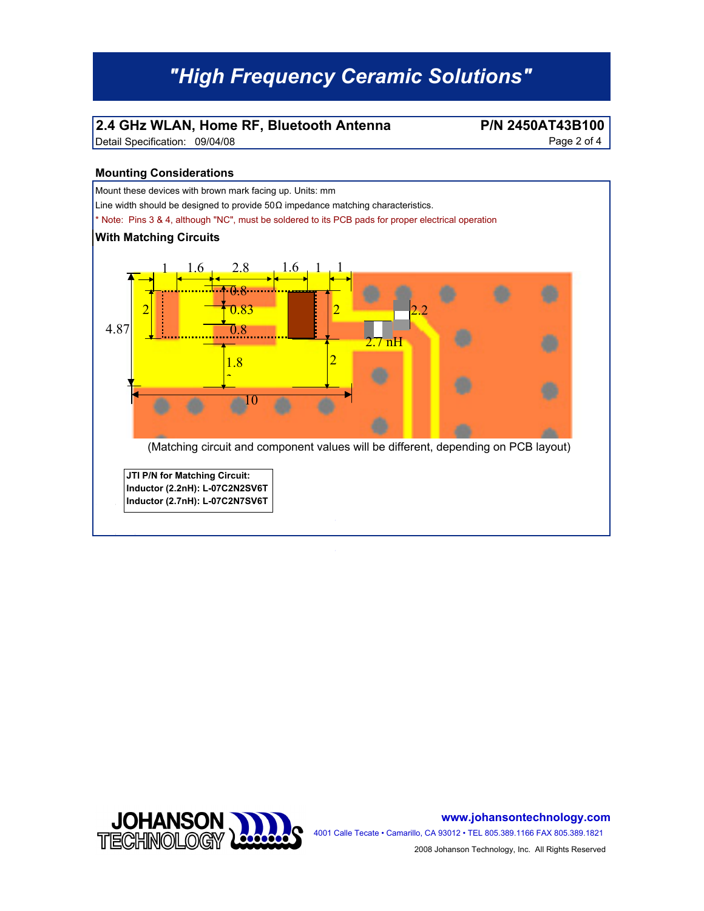### **2.4 GHz WLAN, Home RF, Bluetooth Antenna P/N 2450AT43B100**

Detail Specification: 09/04/08 Page 2 of 4

#### **Mounting Considerations**





**www.johansontechnology.com**

4001 Calle Tecate • Camarillo, CA 93012 • TEL 805.389.1166 FAX 805.389.1821 2008 Johanson Technology, Inc. All Rights Reserved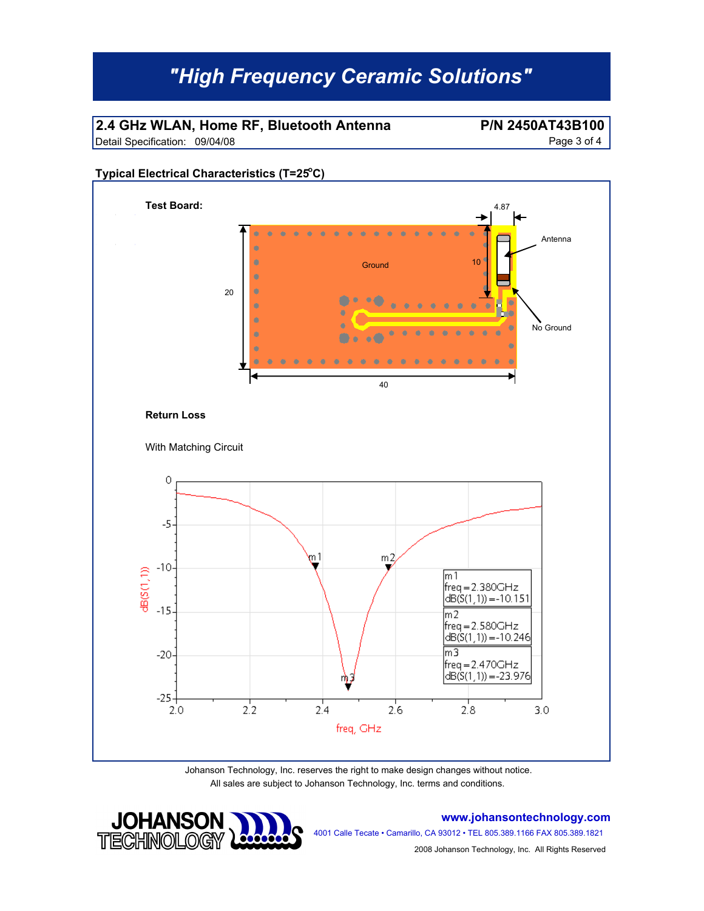### **2.4 GHz WLAN, Home RF, Bluetooth Antenna P/N 2450AT43B100**

Detail Specification: 09/04/08 Page 3 of 4

#### **Typical Electrical Characteristics (T=25°C)**



All sales are subject to Johanson Technology, Inc. terms and conditions.



**www.johansontechnology.com**

4001 Calle Tecate • Camarillo, CA 93012 • TEL 805.389.1166 FAX 805.389.1821

2008 Johanson Technology, Inc. All Rights Reserved